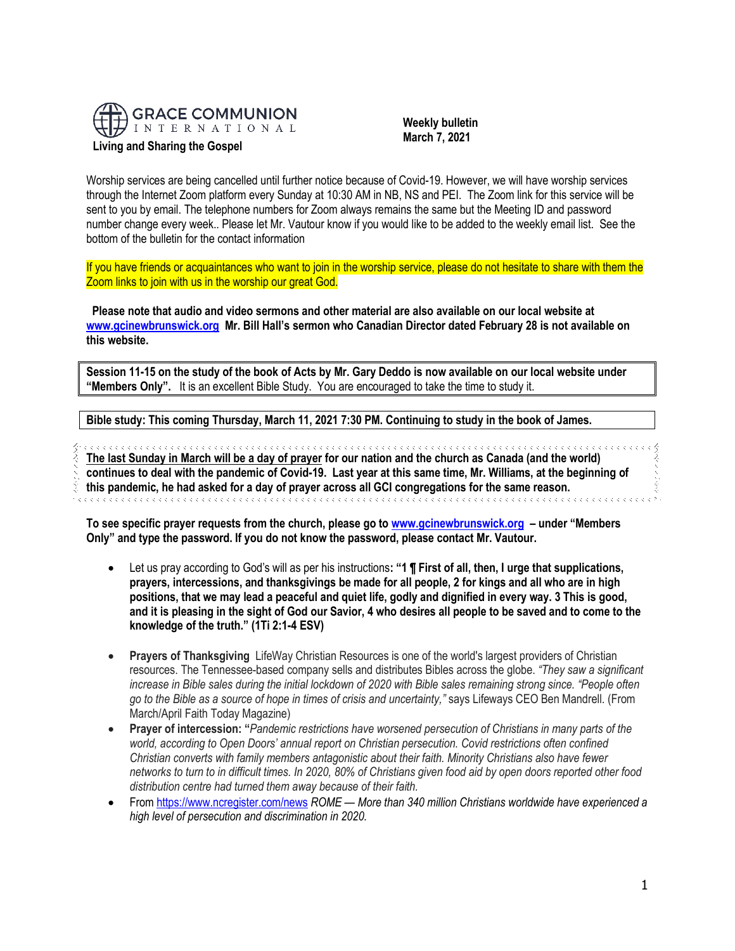

 **Weekly bulletin March 7, 2021**

Worship services are being cancelled until further notice because of Covid-19. However, we will have worship services through the Internet Zoom platform every Sunday at 10:30 AM in NB, NS and PEI. The Zoom link for this service will be sent to you by email. The telephone numbers for Zoom always remains the same but the Meeting ID and password number change every week.. Please let Mr. Vautour know if you would like to be added to the weekly email list. See the bottom of the bulletin for the contact information

If you have friends or acquaintances who want to join in the worship service, please do not hesitate to share with them the Zoom links to join with us in the worship our great God.

**Please note that audio and video sermons and other material are also available on our local website at [www.gcinewbrunswick.org](http://www.gcinewbrunswick.org/) Mr. Bill Hall's sermon who Canadian Director dated February 28 is not available on this website.** 

**Session 11-15 on the study of the book of Acts by Mr. Gary Deddo is now available on our local website under "Members Only".** It is an excellent Bible Study. You are encouraged to take the time to study it.

**Bible study: This coming Thursday, March 11, 2021 7:30 PM. Continuing to study in the book of James.** 

**The last Sunday in March will be a day of prayer for our nation and the church as Canada (and the world) continues to deal with the pandemic of Covid-19. Last year at this same time, Mr. Williams, at the beginning of this pandemic, he had asked for a day of prayer across all GCI congregations for the same reason.**  a a a a a a a a a a a a a a a a a a

**To see specific prayer requests from the church, please go to [www.gcinewbrunswick.org](http://www.gcinewbrunswick.org/) – under "Members Only" and type the password. If you do not know the password, please contact Mr. Vautour.**

- Let us pray according to God's will as per his instructions**: "1 ¶ First of all, then, I urge that supplications, prayers, intercessions, and thanksgivings be made for all people, 2 for kings and all who are in high positions, that we may lead a peaceful and quiet life, godly and dignified in every way. 3 This is good, and it is pleasing in the sight of God our Savior, 4 who desires all people to be saved and to come to the knowledge of the truth." (1Ti 2:1-4 ESV)**
- **Prayers of Thanksgiving** LifeWay Christian Resources is one of the world's largest providers of Christian resources. The Tennessee-based company sells and distributes Bibles across the globe. *"They saw a significant increase in Bible sales during the initial lockdown of 2020 with Bible sales remaining strong since. "People often go to the Bible as a source of hope in times of crisis and uncertainty,"* says Lifeways CEO Ben Mandrell. (From March/April Faith Today Magazine)
- **Prayer of intercession: "***Pandemic restrictions have worsened persecution of Christians in many parts of the world, according to Open Doors' annual report on Christian persecution. Covid restrictions often confined Christian converts with family members antagonistic about their faith. Minority Christians also have fewer networks to turn to in difficult times. In 2020, 80% of Christians given food aid by open doors reported other food distribution centre had turned them away because of their faith.*
- Fro[m https://www.ncregister.com/news](https://www.ncregister.com/news) *ROME — More than 340 million Christians worldwide have experienced a high level of persecution and discrimination in 2020.*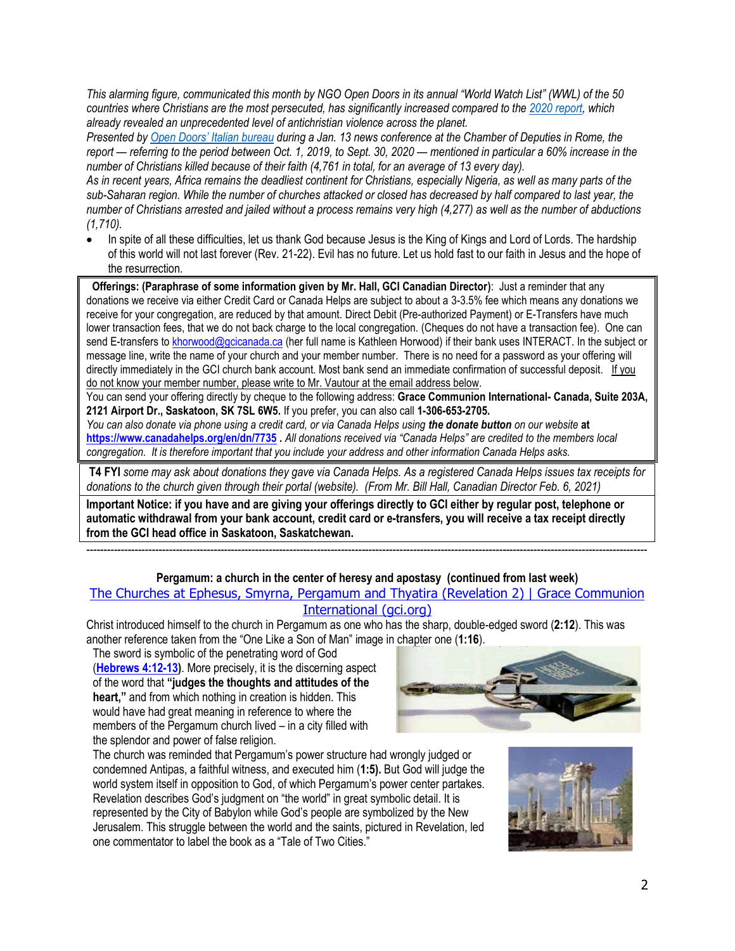*This alarming figure, communicated this month by NGO Open Doors in its annual "World Watch List" (WWL) of the 50 countries where Christians are the most persecuted, has significantly increased compared to the [2020 report,](https://www.ncregister.com/news/new-report-on-worldwide-christian-persecution-sounds-alarm-in-west) which already revealed an unprecedented level of antichristian violence across the planet.* 

*Presented by [Open Doors' Italian b](https://www.porteaperteitalia.org/)ureau during a Jan. 13 news conference at the Chamber of Deputies in Rome, the report — referring to the period between Oct. 1, 2019, to Sept. 30, 2020 — <i>mentioned in particular a 60% increase in the number of Christians killed because of their faith (4,761 in total, for an average of 13 every day).*

*As in recent years, Africa remains the deadliest continent for Christians, especially Nigeria, as well as many parts of the sub-Saharan region. While the number of churches attacked or closed has decreased by half compared to last year, the number of Christians arrested and jailed without a process remains very high (4,277) as well as the number of abductions (1,710).*

In spite of all these difficulties, let us thank God because Jesus is the King of Kings and Lord of Lords. The hardship of this world will not last forever (Rev. 21-22). Evil has no future. Let us hold fast to our faith in Jesus and the hope of the resurrection.

**Offerings: (Paraphrase of some information given by Mr. Hall, GCI Canadian Director)**: Just a reminder that any donations we receive via either Credit Card or Canada Helps are subject to about a 3-3.5% fee which means any donations we receive for your congregation, are reduced by that amount. Direct Debit (Pre-authorized Payment) or E-Transfers have much lower transaction fees, that we do not back charge to the local congregation. (Cheques do not have a transaction fee). One can send E-transfers t[o khorwood@gcicanada.ca](mailto:khorwood@gcicanada.ca) (her full name is Kathleen Horwood) if their bank uses INTERACT. In the subject or message line, write the name of your church and your member number. There is no need for a password as your offering will directly immediately in the GCI church bank account. Most bank send an immediate confirmation of successful deposit. If you do not know your member number, please write to Mr. Vautour at the email address below.

You can send your offering directly by cheque to the following address: **Grace Communion International- Canada, Suite 203A, 2121 Airport Dr., Saskatoon, SK 7SL 6W5.** If you prefer, you can also call **1-306-653-2705.** 

*You can also donate via phone using a credit card, or via Canada Helps using the donate button on our website* **at <https://www.canadahelps.org/en/dn/7735> .** *All donations received via "Canada Helps" are credited to the members local congregation. It is therefore important that you include your address and other information Canada Helps asks.*

**T4 FYI** *some may ask about donations they gave via Canada Helps. As a registered Canada Helps issues tax receipts for donations to the church given through their portal (website). (From Mr. Bill Hall, Canadian Director Feb. 6, 2021)*

**Important Notice: if you have and are giving your offerings directly to GCI either by regular post, telephone or automatic withdrawal from your bank account, credit card or e-transfers, you will receive a tax receipt directly from the GCI head office in Saskatoon, Saskatchewan.** 

# **Pergamum: a church in the center of heresy and apostasy (continued from last week)**

-------------------------------------------------------------------------------------------------------------------------------------------------------------------

[The Churches at Ephesus, Smyrna, Pergamum and Thyatira \(Revelation 2\) | Grace Communion](https://www.gci.org/articles/the-churches-at-ephesus-smyrna-pergamum-and-thyatira-revelation-2/)  [International \(gci.org\)](https://www.gci.org/articles/the-churches-at-ephesus-smyrna-pergamum-and-thyatira-revelation-2/)

Christ introduced himself to the church in Pergamum as one who has the sharp, double-edged sword (**2:12**). This was another reference taken from the "One Like a Son of Man" image in chapter one (**1:16**).

The sword is symbolic of the penetrating word of God (**[Hebrews 4:12-13\)](https://biblia.com/bible/niv/Heb%204.12-13)**. More precisely, it is the discerning aspect of the word that **"judges the thoughts and attitudes of the heart,"** and from which nothing in creation is hidden. This would have had great meaning in reference to where the members of the Pergamum church lived – in a city filled with the splendor and power of false religion.



The church was reminded that Pergamum's power structure had wrongly judged or condemned Antipas, a faithful witness, and executed him (**1:5).** But God will judge the world system itself in opposition to God, of which Pergamum's power center partakes. Revelation describes God's judgment on "the world" in great symbolic detail. It is represented by the City of Babylon while God's people are symbolized by the New Jerusalem. This struggle between the world and the saints, pictured in Revelation, led one commentator to label the book as a "Tale of Two Cities."

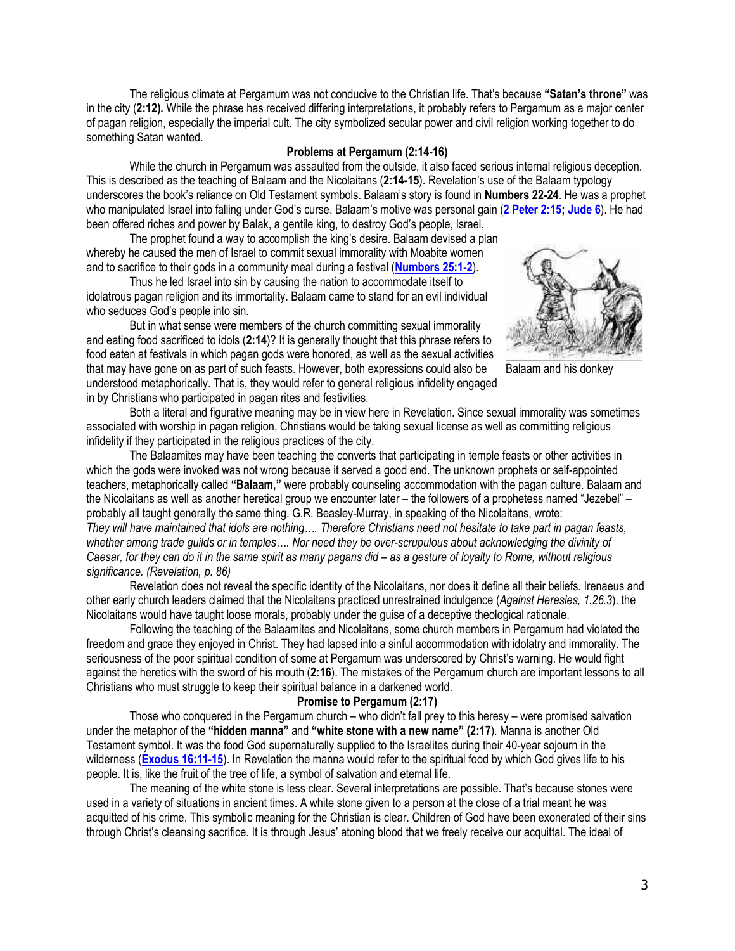The religious climate at Pergamum was not conducive to the Christian life. That's because **"Satan's throne"** was in the city (**2:12).** While the phrase has received differing interpretations, it probably refers to Pergamum as a major center of pagan religion, especially the imperial cult. The city symbolized secular power and civil religion working together to do something Satan wanted.

### **Problems at Pergamum (2:14-16)**

While the church in Pergamum was assaulted from the outside, it also faced serious internal religious deception. This is described as the teaching of Balaam and the Nicolaitans (**2:14-15**). Revelation's use of the Balaam typology underscores the book's reliance on Old Testament symbols. Balaam's story is found in **Numbers 22-24**. He was a prophet who manipulated Israel into falling under God's curse. Balaam's motive was personal gain (**[2 Peter 2:15;](https://biblia.com/bible/niv/2%20Pet%202.15) [Jude 6](https://biblia.com/bible/niv/Jude%206)**). He had been offered riches and power by Balak, a gentile king, to destroy God's people, Israel.

The prophet found a way to accomplish the king's desire. Balaam devised a plan whereby he caused the men of Israel to commit sexual immorality with Moabite women and to sacrifice to their gods in a community meal during a festival (**[Numbers 25:1-2](https://biblia.com/bible/niv/Num%2025.1-2)**).

Thus he led Israel into sin by causing the nation to accommodate itself to idolatrous pagan religion and its immortality. Balaam came to stand for an evil individual who seduces God's people into sin.

But in what sense were members of the church committing sexual immorality and eating food sacrificed to idols (**2:14**)? It is generally thought that this phrase refers to food eaten at festivals in which pagan gods were honored, as well as the sexual activities that may have gone on as part of such feasts. However, both expressions could also be understood metaphorically. That is, they would refer to general religious infidelity engaged in by Christians who participated in pagan rites and festivities.



Balaam and his donkey

Both a literal and figurative meaning may be in view here in Revelation. Since sexual immorality was sometimes associated with worship in pagan religion, Christians would be taking sexual license as well as committing religious infidelity if they participated in the religious practices of the city.

The Balaamites may have been teaching the converts that participating in temple feasts or other activities in which the gods were invoked was not wrong because it served a good end. The unknown prophets or self-appointed teachers, metaphorically called **"Balaam,"** were probably counseling accommodation with the pagan culture. Balaam and the Nicolaitans as well as another heretical group we encounter later – the followers of a prophetess named "Jezebel" – probably all taught generally the same thing. G.R. Beasley-Murray, in speaking of the Nicolaitans, wrote: *They will have maintained that idols are nothing.... Therefore Christians need not hesitate to take part in pagan feasts, whether among trade guilds or in temples…. Nor need they be over-scrupulous about acknowledging the divinity of Caesar, for they can do it in the same spirit as many pagans did – as a gesture of loyalty to Rome, without religious significance. (Revelation, p. 86)*

Revelation does not reveal the specific identity of the Nicolaitans, nor does it define all their beliefs. Irenaeus and other early church leaders claimed that the Nicolaitans practiced unrestrained indulgence (*Against Heresies, 1.26.3*). the Nicolaitans would have taught loose morals, probably under the guise of a deceptive theological rationale.

Following the teaching of the Balaamites and Nicolaitans, some church members in Pergamum had violated the freedom and grace they enjoyed in Christ. They had lapsed into a sinful accommodation with idolatry and immorality. The seriousness of the poor spiritual condition of some at Pergamum was underscored by Christ's warning. He would fight against the heretics with the sword of his mouth (**2:16**). The mistakes of the Pergamum church are important lessons to all Christians who must struggle to keep their spiritual balance in a darkened world.

#### **Promise to Pergamum (2:17)**

Those who conquered in the Pergamum church – who didn't fall prey to this heresy – were promised salvation under the metaphor of the **"hidden manna"** and **"white stone with a new name" (2:17**). Manna is another Old Testament symbol. It was the food God supernaturally supplied to the Israelites during their 40-year sojourn in the wilderness (**[Exodus 16:11-15](https://biblia.com/bible/niv/Exod%2016.11-15)**). In Revelation the manna would refer to the spiritual food by which God gives life to his people. It is, like the fruit of the tree of life, a symbol of salvation and eternal life.

The meaning of the white stone is less clear. Several interpretations are possible. That's because stones were used in a variety of situations in ancient times. A white stone given to a person at the close of a trial meant he was acquitted of his crime. This symbolic meaning for the Christian is clear. Children of God have been exonerated of their sins through Christ's cleansing sacrifice. It is through Jesus' atoning blood that we freely receive our acquittal. The ideal of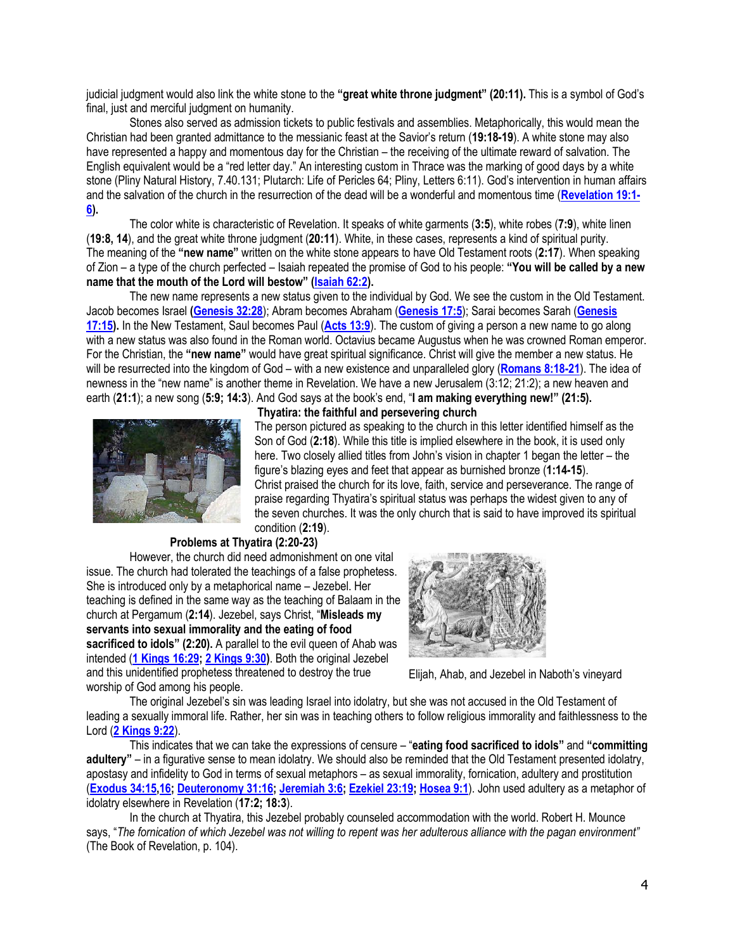judicial judgment would also link the white stone to the **"great white throne judgment" (20:11).** This is a symbol of God's final, just and merciful judgment on humanity.

Stones also served as admission tickets to public festivals and assemblies. Metaphorically, this would mean the Christian had been granted admittance to the messianic feast at the Savior's return (**19:18-19**). A white stone may also have represented a happy and momentous day for the Christian – the receiving of the ultimate reward of salvation. The English equivalent would be a "red letter day." An interesting custom in Thrace was the marking of good days by a white stone (Pliny Natural History, 7.40.131; Plutarch: Life of Pericles 64; Pliny, Letters 6:11). God's intervention in human affairs and the salvation of the church in the resurrection of the dead will be a wonderful and momentous time (**[Revelation 19:1-](https://biblia.com/bible/niv/Rev%2019.1-6) [6\)](https://biblia.com/bible/niv/Rev%2019.1-6).**

The color white is characteristic of Revelation. It speaks of white garments (**3:5**), white robes (**7:9**), white linen (**19:8, 14**), and the great white throne judgment (**20:11**). White, in these cases, represents a kind of spiritual purity. The meaning of the **"new name"** written on the white stone appears to have Old Testament roots (**2:17**). When speaking of Zion – a type of the church perfected – Isaiah repeated the promise of God to his people: **"You will be called by a new name that the mouth of the Lord will bestow" ([Isaiah 62:2\)](https://biblia.com/bible/niv/Isa%2062.2).**

The new name represents a new status given to the individual by God. We see the custom in the Old Testament. Jacob becomes Israel **[\(Genesis 32:28](https://biblia.com/bible/niv/Gen%2032.28)**); Abram becomes Abraham (**[Genesis 17:5](https://biblia.com/bible/niv/Gen%2017.5)**); Sarai becomes Sarah (**[Genesis](https://biblia.com/bible/niv/Gen%2017.15)  [17:15\)](https://biblia.com/bible/niv/Gen%2017.15).** In the New Testament, Saul becomes Paul (**[Acts 13:9](https://biblia.com/bible/niv/Acts%2013.9)**). The custom of giving a person a new name to go along with a new status was also found in the Roman world. Octavius became Augustus when he was crowned Roman emperor. For the Christian, the **"new name"** would have great spiritual significance. Christ will give the member a new status. He will be resurrected into the kingdom of God – with a new existence and unparalleled glory (**[Romans 8:18-21](https://biblia.com/bible/niv/Rom%208.18-21)**). The idea of newness in the "new name" is another theme in Revelation. We have a new Jerusalem (3:12; 21:2); a new heaven and earth (**21:1**); a new song (**5:9; 14:3**). And God says at the book's end, "**I am making everything new!" (21:5).**



### **Thyatira: the faithful and persevering church**

The person pictured as speaking to the church in this letter identified himself as the Son of God (**2:18**). While this title is implied elsewhere in the book, it is used only here. Two closely allied titles from John's vision in chapter 1 began the letter – the figure's blazing eyes and feet that appear as burnished bronze (**1:14-15**). Christ praised the church for its love, faith, service and perseverance. The range of praise regarding Thyatira's spiritual status was perhaps the widest given to any of the seven churches. It was the only church that is said to have improved its spiritual condition (**2:19**).

# **Problems at Thyatira (2:20-23)**

However, the church did need admonishment on one vital issue. The church had tolerated the teachings of a false prophetess. She is introduced only by a metaphorical name – Jezebel. Her teaching is defined in the same way as the teaching of Balaam in the church at Pergamum (**2:14**). Jezebel, says Christ, "**Misleads my servants into sexual immorality and the eating of food**  sacrificed to idols" (2:20). A parallel to the evil queen of Ahab was intended (**[1 Kings 16:29;](https://biblia.com/bible/niv/1%20Kings%2016.29) [2 Kings 9:30\)](https://biblia.com/bible/niv/2%20Kings%209.30)**. Both the original Jezebel and this unidentified prophetess threatened to destroy the true worship of God among his people.



Elijah, Ahab, and Jezebel in Naboth's vineyard

The original Jezebel's sin was leading Israel into idolatry, but she was not accused in the Old Testament of leading a sexually immoral life. Rather, her sin was in teaching others to follow religious immorality and faithlessness to the Lord (**[2 Kings 9:22](https://biblia.com/bible/niv/2%20Kings%209.22)**).

This indicates that we can take the expressions of censure – "**eating food sacrificed to idols"** and **"committing adultery"** – in a figurative sense to mean idolatry. We should also be reminded that the Old Testament presented idolatry, apostasy and infidelity to God in terms of sexual metaphors – as sexual immorality, fornication, adultery and prostitution (**[Exodus 34:15,](https://biblia.com/bible/niv/Exod%2034.15)[16;](https://biblia.com/bible/niv/Exodus%2034.16) [Deuteronomy 31:16;](https://biblia.com/bible/niv/Deut%2031.16) [Jeremiah 3:6;](https://biblia.com/bible/niv/Jer%203.6) [Ezekiel 23:19;](https://biblia.com/bible/niv/Ezek%2023.19) [Hosea 9:1](https://biblia.com/bible/niv/Hos%209.1)**). John used adultery as a metaphor of idolatry elsewhere in Revelation (**17:2; 18:3**).

In the church at Thyatira, this Jezebel probably counseled accommodation with the world. Robert H. Mounce says, "*The fornication of which Jezebel was not willing to repent was her adulterous alliance with the pagan environment"* (The Book of Revelation, p. 104).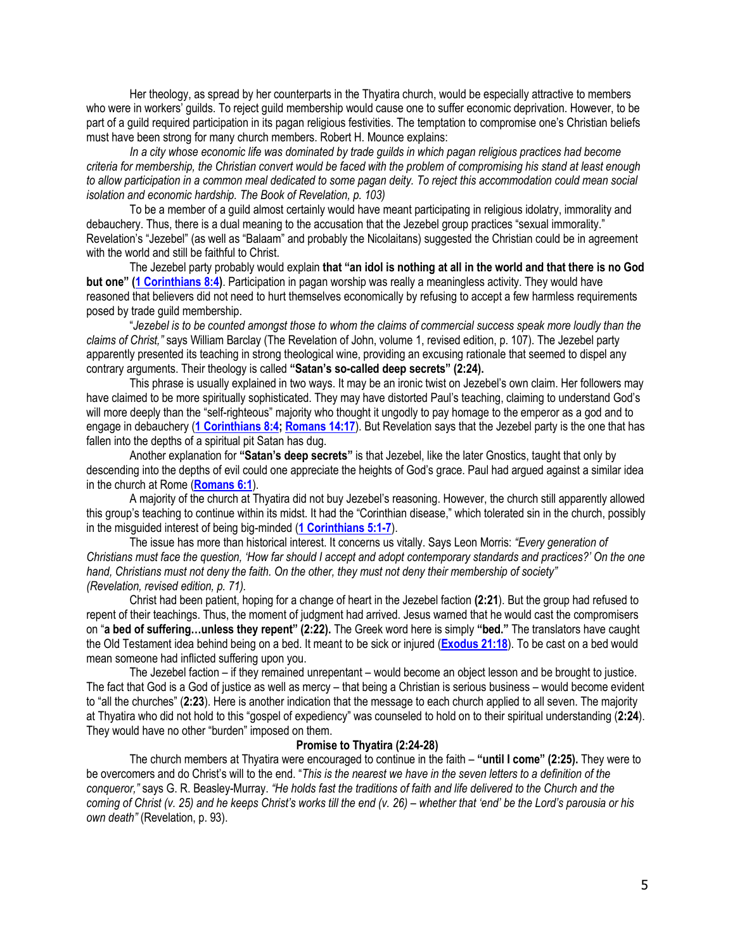Her theology, as spread by her counterparts in the Thyatira church, would be especially attractive to members who were in workers' guilds. To reject guild membership would cause one to suffer economic deprivation. However, to be part of a guild required participation in its pagan religious festivities. The temptation to compromise one's Christian beliefs must have been strong for many church members. Robert H. Mounce explains:

*In a city whose economic life was dominated by trade guilds in which pagan religious practices had become criteria for membership, the Christian convert would be faced with the problem of compromising his stand at least enough*  to allow participation in a common meal dedicated to some pagan deity. To reject this accommodation could mean social *isolation and economic hardship. The Book of Revelation, p. 103)*

To be a member of a guild almost certainly would have meant participating in religious idolatry, immorality and debauchery. Thus, there is a dual meaning to the accusation that the Jezebel group practices "sexual immorality." Revelation's "Jezebel" (as well as "Balaam" and probably the Nicolaitans) suggested the Christian could be in agreement with the world and still be faithful to Christ.

The Jezebel party probably would explain **that "an idol is nothing at all in the world and that there is no God but one" ([1 Corinthians 8:4\)](https://biblia.com/bible/niv/1%20Cor%208.4)**. Participation in pagan worship was really a meaningless activity. They would have reasoned that believers did not need to hurt themselves economically by refusing to accept a few harmless requirements posed by trade guild membership.

"*Jezebel is to be counted amongst those to whom the claims of commercial success speak more loudly than the claims of Christ,"* says William Barclay (The Revelation of John, volume 1, revised edition, p. 107). The Jezebel party apparently presented its teaching in strong theological wine, providing an excusing rationale that seemed to dispel any contrary arguments. Their theology is called **"Satan's so-called deep secrets" (2:24).**

This phrase is usually explained in two ways. It may be an ironic twist on Jezebel's own claim. Her followers may have claimed to be more spiritually sophisticated. They may have distorted Paul's teaching, claiming to understand God's will more deeply than the "self-righteous" majority who thought it ungodly to pay homage to the emperor as a god and to engage in debauchery (**[1 Corinthians 8:4;](https://biblia.com/bible/niv/1%20Cor%208.4) [Romans 14:17](https://biblia.com/bible/niv/Rom%2014.17)**). But Revelation says that the Jezebel party is the one that has fallen into the depths of a spiritual pit Satan has dug.

Another explanation for **"Satan's deep secrets"** is that Jezebel, like the later Gnostics, taught that only by descending into the depths of evil could one appreciate the heights of God's grace. Paul had argued against a similar idea in the church at Rome (**[Romans 6:1](https://biblia.com/bible/niv/Rom%206.1)**).

A majority of the church at Thyatira did not buy Jezebel's reasoning. However, the church still apparently allowed this group's teaching to continue within its midst. It had the "Corinthian disease," which tolerated sin in the church, possibly in the misguided interest of being big-minded (**[1 Corinthians 5:1-7](https://biblia.com/bible/niv/1%20Cor%205.1-7)**).

The issue has more than historical interest. It concerns us vitally. Says Leon Morris: *"Every generation of Christians must face the question, 'How far should I accept and adopt contemporary standards and practices?' On the one hand, Christians must not deny the faith. On the other, they must not deny their membership of society" (Revelation, revised edition, p. 71).*

Christ had been patient, hoping for a change of heart in the Jezebel faction **(2:21**). But the group had refused to repent of their teachings. Thus, the moment of judgment had arrived. Jesus warned that he would cast the compromisers on "**a bed of suffering…unless they repent" (2:22).** The Greek word here is simply **"bed."** The translators have caught the Old Testament idea behind being on a bed. It meant to be sick or injured (**[Exodus 21:18](https://biblia.com/bible/niv/Exod%2021.18)**). To be cast on a bed would mean someone had inflicted suffering upon you.

The Jezebel faction – if they remained unrepentant – would become an object lesson and be brought to justice. The fact that God is a God of justice as well as mercy – that being a Christian is serious business – would become evident to "all the churches" (**2:23**). Here is another indication that the message to each church applied to all seven. The majority at Thyatira who did not hold to this "gospel of expediency" was counseled to hold on to their spiritual understanding (**2:24**). They would have no other "burden" imposed on them.

#### **Promise to Thyatira (2:24-28)**

The church members at Thyatira were encouraged to continue in the faith – **"until I come" (2:25).** They were to be overcomers and do Christ's will to the end. "*This is the nearest we have in the seven letters to a definition of the conqueror,"* says G. R. Beasley-Murray. *"He holds fast the traditions of faith and life delivered to the Church and the coming of Christ (v. 25) and he keeps Christ's works till the end (v. 26) – whether that 'end' be the Lord's parousia or his own death"* (Revelation, p. 93).